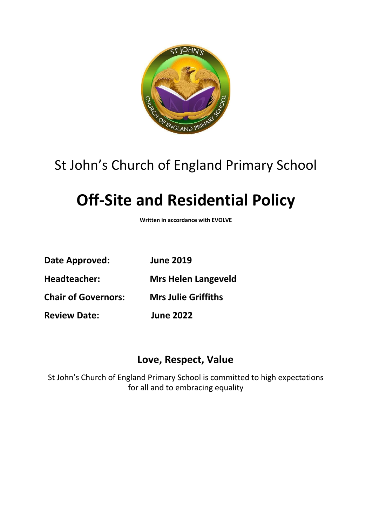

## St John's Church of England Primary School

# **Off-Site and Residential Policy**

**Written in accordance with EVOLVE**

**Date Approved: June 2019**

**Headteacher: Mrs Helen Langeveld**

**Chair of Governors: Mrs Julie Griffiths**

**Review Date: June 2022**

### **Love, Respect, Value**

St John's Church of England Primary School is committed to high expectations for all and to embracing equality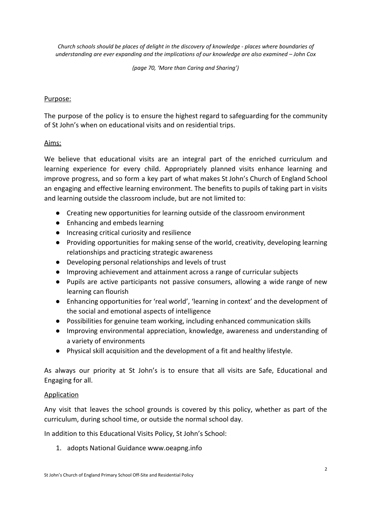*Church schools should be places of delight in the discovery of knowledge - places where boundaries of understanding are ever expanding and the implications of our knowledge are also examined – John Cox*

*(page 70, 'More than Caring and Sharing')*

#### Purpose:

The purpose of the policy is to ensure the highest regard to safeguarding for the community of St John's when on educational visits and on residential trips.

#### Aims:

We believe that educational visits are an integral part of the enriched curriculum and learning experience for every child. Appropriately planned visits enhance learning and improve progress, and so form a key part of what makes St John's Church of England School an engaging and effective learning environment. The benefits to pupils of taking part in visits and learning outside the classroom include, but are not limited to:

- Creating new opportunities for learning outside of the classroom environment
- Enhancing and embeds learning
- Increasing critical curiosity and resilience
- Providing opportunities for making sense of the world, creativity, developing learning relationships and practicing strategic awareness
- Developing personal relationships and levels of trust
- Improving achievement and attainment across a range of curricular subjects
- Pupils are active participants not passive consumers, allowing a wide range of new learning can flourish
- Enhancing opportunities for 'real world', 'learning in context' and the development of the social and emotional aspects of intelligence
- Possibilities for genuine team working, including enhanced communication skills
- Improving environmental appreciation, knowledge, awareness and understanding of a variety of environments
- Physical skill acquisition and the development of a fit and healthy lifestyle.

As always our priority at St John's is to ensure that all visits are Safe, Educational and Engaging for all.

#### **Application**

Any visit that leaves the school grounds is covered by this policy, whether as part of the curriculum, during school time, or outside the normal school day.

In addition to this Educational Visits Policy, St John's School:

1. adopts National Guidance www.oeapng.info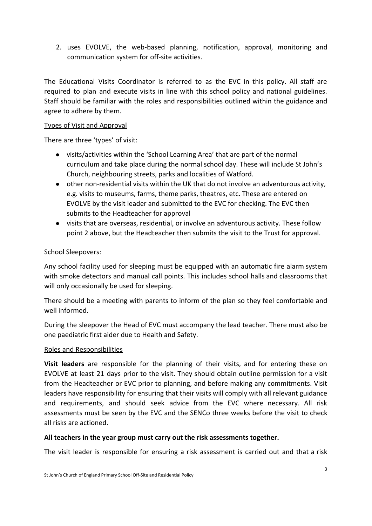2. uses EVOLVE, the web-based planning, notification, approval, monitoring and communication system for off-site activities.

The Educational Visits Coordinator is referred to as the EVC in this policy. All staff are required to plan and execute visits in line with this school policy and national guidelines. Staff should be familiar with the roles and responsibilities outlined within the guidance and agree to adhere by them.

#### Types of Visit and Approval

There are three 'types' of visit:

- visits/activities within the 'School Learning Area' that are part of the normal curriculum and take place during the normal school day. These will include St John's Church, neighbouring streets, parks and localities of Watford.
- other non-residential visits within the UK that do not involve an adventurous activity, e.g. visits to museums, farms, theme parks, theatres, etc. These are entered on EVOLVE by the visit leader and submitted to the EVC for checking. The EVC then submits to the Headteacher for approval
- visits that are overseas, residential, or involve an adventurous activity. These follow point 2 above, but the Headteacher then submits the visit to the Trust for approval.

#### School Sleepovers:

Any school facility used for sleeping must be equipped with an automatic fire alarm system with smoke detectors and manual call points. This includes school halls and classrooms that will only occasionally be used for sleeping.

There should be a meeting with parents to inform of the plan so they feel comfortable and well informed.

During the sleepover the Head of EVC must accompany the lead teacher. There must also be one paediatric first aider due to Health and Safety.

#### Roles and Responsibilities

**Visit leaders** are responsible for the planning of their visits, and for entering these on EVOLVE at least 21 days prior to the visit. They should obtain outline permission for a visit from the Headteacher or EVC prior to planning, and before making any commitments. Visit leaders have responsibility for ensuring that their visits will comply with all relevant guidance and requirements, and should seek advice from the EVC where necessary. All risk assessments must be seen by the EVC and the SENCo three weeks before the visit to check all risks are actioned.

#### **All teachers in the year group must carry out the risk assessments together.**

The visit leader is responsible for ensuring a risk assessment is carried out and that a risk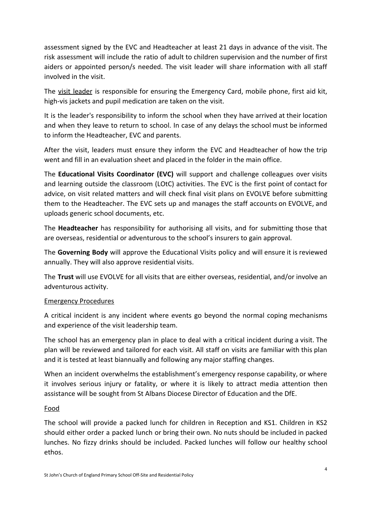assessment signed by the EVC and Headteacher at least 21 days in advance of the visit. The risk assessment will include the ratio of adult to children supervision and the number of first aiders or appointed person/s needed. The visit leader will share information with all staff involved in the visit.

The visit leader is responsible for ensuring the Emergency Card, mobile phone, first aid kit, high-vis jackets and pupil medication are taken on the visit.

It is the leader's responsibility to inform the school when they have arrived at their location and when they leave to return to school. In case of any delays the school must be informed to inform the Headteacher, EVC and parents.

After the visit, leaders must ensure they inform the EVC and Headteacher of how the trip went and fill in an evaluation sheet and placed in the folder in the main office.

The **Educational Visits Coordinator (EVC)** will support and challenge colleagues over visits and learning outside the classroom (LOtC) activities. The EVC is the first point of contact for advice, on visit related matters and will check final visit plans on EVOLVE before submitting them to the Headteacher. The EVC sets up and manages the staff accounts on EVOLVE, and uploads generic school documents, etc.

The **Headteacher** has responsibility for authorising all visits, and for submitting those that are overseas, residential or adventurous to the school's insurers to gain approval.

The **Governing Body** will approve the Educational Visits policy and will ensure it is reviewed annually. They will also approve residential visits.

The **Trust** will use EVOLVE for all visits that are either overseas, residential, and/or involve an adventurous activity.

#### Emergency Procedures

A critical incident is any incident where events go beyond the normal coping mechanisms and experience of the visit leadership team.

The school has an emergency plan in place to deal with a critical incident during a visit. The plan will be reviewed and tailored for each visit. All staff on visits are familiar with this plan and it is tested at least biannually and following any major staffing changes.

When an incident overwhelms the establishment's emergency response capability, or where it involves serious injury or fatality, or where it is likely to attract media attention then assistance will be sought from St Albans Diocese Director of Education and the DfE.

#### Food

The school will provide a packed lunch for children in Reception and KS1. Children in KS2 should either order a packed lunch or bring their own. No nuts should be included in packed lunches. No fizzy drinks should be included. Packed lunches will follow our healthy school ethos.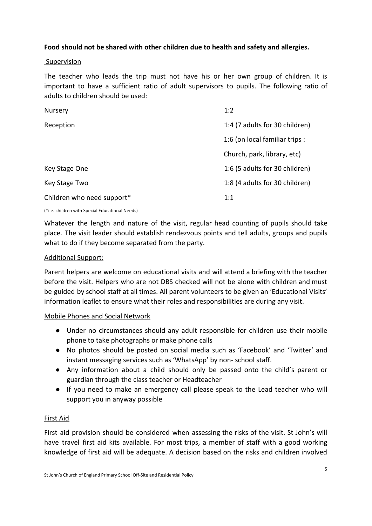#### **Food should not be shared with other children due to health and safety and allergies.**

#### **Supervision**

The teacher who leads the trip must not have his or her own group of children. It is important to have a sufficient ratio of adult supervisors to pupils. The following ratio of adults to children should be used:

| Nursery                    | 1:2                            |
|----------------------------|--------------------------------|
| Reception                  | 1:4 (7 adults for 30 children) |
|                            | 1:6 (on local familiar trips : |
|                            | Church, park, library, etc)    |
| Key Stage One              | 1:6 (5 adults for 30 children) |
| Key Stage Two              | 1:8 (4 adults for 30 children) |
| Children who need support* | 1:1                            |

(\*i.e. children with Special Educational Needs)

Whatever the length and nature of the visit, regular head counting of pupils should take place. The visit leader should establish rendezvous points and tell adults, groups and pupils what to do if they become separated from the party.

#### Additional Support:

Parent helpers are welcome on educational visits and will attend a briefing with the teacher before the visit. Helpers who are not DBS checked will not be alone with children and must be guided by school staff at all times. All parent volunteers to be given an 'Educational Visits' information leaflet to ensure what their roles and responsibilities are during any visit.

#### Mobile Phones and Social Network

- Under no circumstances should any adult responsible for children use their mobile phone to take photographs or make phone calls
- No photos should be posted on social media such as 'Facebook' and 'Twitter' and instant messaging services such as 'WhatsApp' by non- school staff.
- Any information about a child should only be passed onto the child's parent or guardian through the class teacher or Headteacher
- If you need to make an emergency call please speak to the Lead teacher who will support you in anyway possible

#### First Aid

First aid provision should be considered when assessing the risks of the visit. St John's will have travel first aid kits available. For most trips, a member of staff with a good working knowledge of first aid will be adequate. A decision based on the risks and children involved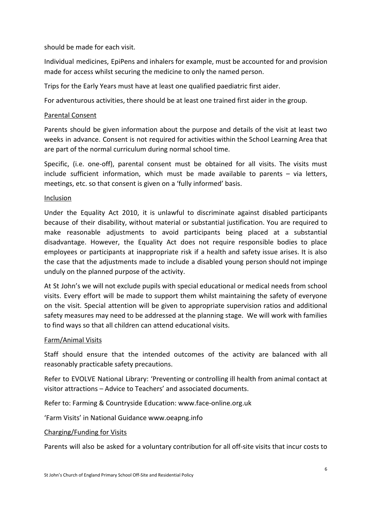should be made for each visit.

Individual medicines, EpiPens and inhalers for example, must be accounted for and provision made for access whilst securing the medicine to only the named person.

Trips for the Early Years must have at least one qualified paediatric first aider.

For adventurous activities, there should be at least one trained first aider in the group.

#### Parental Consent

Parents should be given information about the purpose and details of the visit at least two weeks in advance. Consent is not required for activities within the School Learning Area that are part of the normal curriculum during normal school time.

Specific, (i.e. one-off), parental consent must be obtained for all visits. The visits must include sufficient information, which must be made available to parents – via letters, meetings, etc. so that consent is given on a 'fully informed' basis.

#### Inclusion

Under the Equality Act 2010, it is unlawful to discriminate against disabled participants because of their disability, without material or substantial justification. You are required to make reasonable adjustments to avoid participants being placed at a substantial disadvantage. However, the Equality Act does not require responsible bodies to place employees or participants at inappropriate risk if a health and safety issue arises. It is also the case that the adjustments made to include a disabled young person should not impinge unduly on the planned purpose of the activity.

At St John's we will not exclude pupils with special educational or medical needs from school visits. Every effort will be made to support them whilst maintaining the safety of everyone on the visit. Special attention will be given to appropriate supervision ratios and additional safety measures may need to be addressed at the planning stage. We will work with families to find ways so that all children can attend educational visits.

#### Farm/Animal Visits

Staff should ensure that the intended outcomes of the activity are balanced with all reasonably practicable safety precautions.

Refer to EVOLVE National Library: 'Preventing or controlling ill health from animal contact at visitor attractions – Advice to Teachers' and associated documents.

Refer to: Farming & Countryside Education: www.face-online.org.uk

'Farm Visits' in National Guidance www.oeapng.info

#### Charging/Funding for Visits

Parents will also be asked for a voluntary contribution for all off-site visits that incur costs to